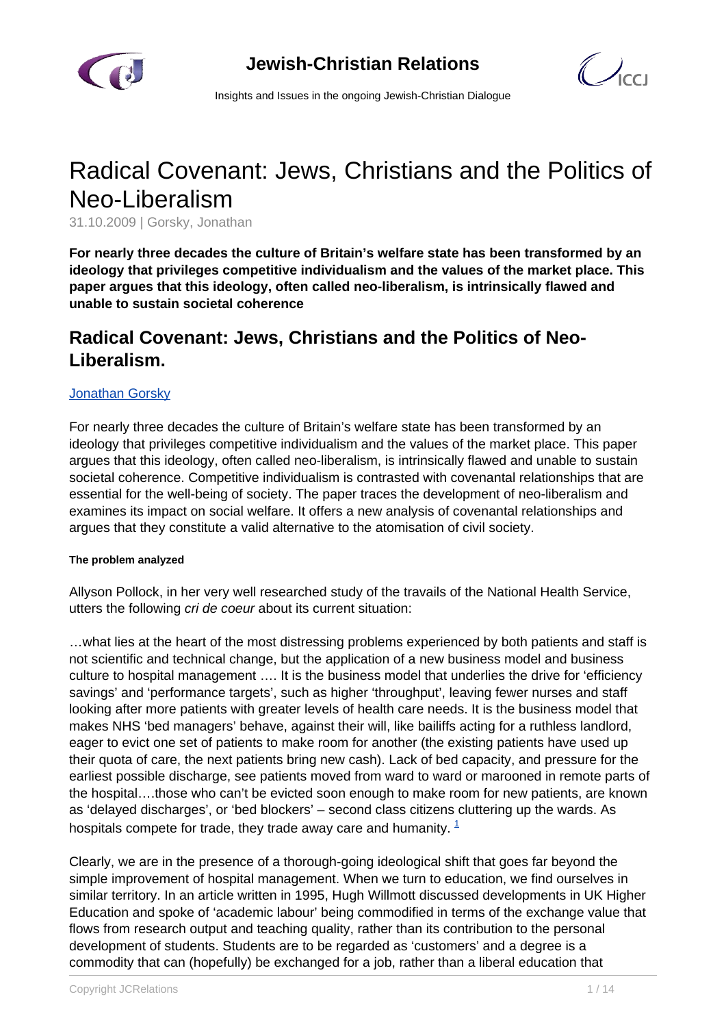

 $\bigcup_{C}$ 

Insights and Issues in the ongoing Jewish-Christian Dialogue

# Radical Covenant: Jews, Christians and the Politics of Neo-Liberalism

31.10.2009 | Gorsky, Jonathan

**For nearly three decades the culture of Britain's welfare state has been transformed by an ideology that privileges competitive individualism and the values of the market place. This paper argues that this ideology, often called neo-liberalism, is intrinsically flawed and unable to sustain societal coherence**

# **Radical Covenant: Jews, Christians and the Politics of Neo-Liberalism.**

## [Jonathan Gorsky](/article.html)

For nearly three decades the culture of Britain's welfare state has been transformed by an ideology that privileges competitive individualism and the values of the market place. This paper argues that this ideology, often called neo-liberalism, is intrinsically flawed and unable to sustain societal coherence. Competitive individualism is contrasted with covenantal relationships that are essential for the well-being of society. The paper traces the development of neo-liberalism and examines its impact on social welfare. It offers a new analysis of covenantal relationships and argues that they constitute a valid alternative to the atomisation of civil society.

#### **The problem analyzed**

Allyson Pollock, in her very well researched study of the travails of the National Health Service, utters the following cri de coeur about its current situation:

…what lies at the heart of the most distressing problems experienced by both patients and staff is not scientific and technical change, but the application of a new business model and business culture to hospital management …. It is the business model that underlies the drive for 'efficiency savings' and 'performance targets', such as higher 'throughput', leaving fewer nurses and staff looking after more patients with greater levels of health care needs. It is the business model that makes NHS 'bed managers' behave, against their will, like bailiffs acting for a ruthless landlord, eager to evict one set of patients to make room for another (the existing patients have used up their quota of care, the next patients bring new cash). Lack of bed capacity, and pressure for the earliest possible discharge, see patients moved from ward to ward or marooned in remote parts of the hospital….those who can't be evicted soon enough to make room for new patients, are known as 'delayed discharges', or 'bed blockers' – second class citizens cluttering up the wards. As hospitals compete for trade, they trade away care and humanity.  $1$ 

Clearly, we are in the presence of a thorough-going ideological shift that goes far beyond the simple improvement of hospital management. When we turn to education, we find ourselves in similar territory. In an article written in 1995, Hugh Willmott discussed developments in UK Higher Education and spoke of 'academic labour' being commodified in terms of the exchange value that flows from research output and teaching quality, rather than its contribution to the personal development of students. Students are to be regarded as 'customers' and a degree is a commodity that can (hopefully) be exchanged for a job, rather than a liberal education that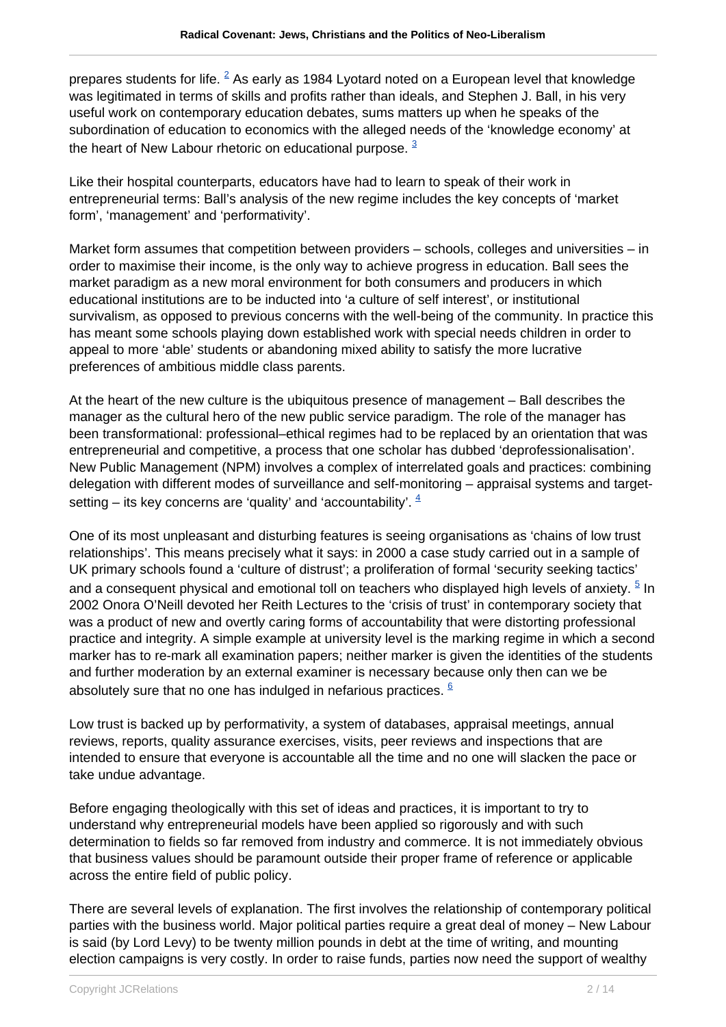prepares students for life.  $^2$  As early as 1984 Lyotard noted on a European level that knowledge was legitimated in terms of skills and profits rather than ideals, and Stephen J. Ball, in his very useful work on contemporary education debates, sums matters up when he speaks of the subordination of education to economics with the alleged needs of the 'knowledge economy' at the heart of New Labour rhetoric on educational purpose.  $3$ 

Like their hospital counterparts, educators have had to learn to speak of their work in entrepreneurial terms: Ball's analysis of the new regime includes the key concepts of 'market form', 'management' and 'performativity'.

Market form assumes that competition between providers – schools, colleges and universities – in order to maximise their income, is the only way to achieve progress in education. Ball sees the market paradigm as a new moral environment for both consumers and producers in which educational institutions are to be inducted into 'a culture of self interest', or institutional survivalism, as opposed to previous concerns with the well-being of the community. In practice this has meant some schools playing down established work with special needs children in order to appeal to more 'able' students or abandoning mixed ability to satisfy the more lucrative preferences of ambitious middle class parents.

At the heart of the new culture is the ubiquitous presence of management – Ball describes the manager as the cultural hero of the new public service paradigm. The role of the manager has been transformational: professional–ethical regimes had to be replaced by an orientation that was entrepreneurial and competitive, a process that one scholar has dubbed 'deprofessionalisation'. New Public Management (NPM) involves a complex of interrelated goals and practices: combining delegation with different modes of surveillance and self-monitoring – appraisal systems and targetsetting – its key concerns are 'quality' and 'accountability'.  $4$ 

One of its most unpleasant and disturbing features is seeing organisations as 'chains of low trust relationships'. This means precisely what it says: in 2000 a case study carried out in a sample of UK primary schools found a 'culture of distrust'; a proliferation of formal 'security seeking tactics' and a consequent physical and emotional toll on teachers who displayed high levels of anxiety.  $^5$  In 2002 Onora O'Neill devoted her Reith Lectures to the 'crisis of trust' in contemporary society that was a product of new and overtly caring forms of accountability that were distorting professional practice and integrity. A simple example at university level is the marking regime in which a second marker has to re-mark all examination papers; neither marker is given the identities of the students and further moderation by an external examiner is necessary because only then can we be absolutely sure that no one has indulged in nefarious practices.  $6/6$ 

Low trust is backed up by performativity, a system of databases, appraisal meetings, annual reviews, reports, quality assurance exercises, visits, peer reviews and inspections that are intended to ensure that everyone is accountable all the time and no one will slacken the pace or take undue advantage.

Before engaging theologically with this set of ideas and practices, it is important to try to understand why entrepreneurial models have been applied so rigorously and with such determination to fields so far removed from industry and commerce. It is not immediately obvious that business values should be paramount outside their proper frame of reference or applicable across the entire field of public policy.

There are several levels of explanation. The first involves the relationship of contemporary political parties with the business world. Major political parties require a great deal of money – New Labour is said (by Lord Levy) to be twenty million pounds in debt at the time of writing, and mounting election campaigns is very costly. In order to raise funds, parties now need the support of wealthy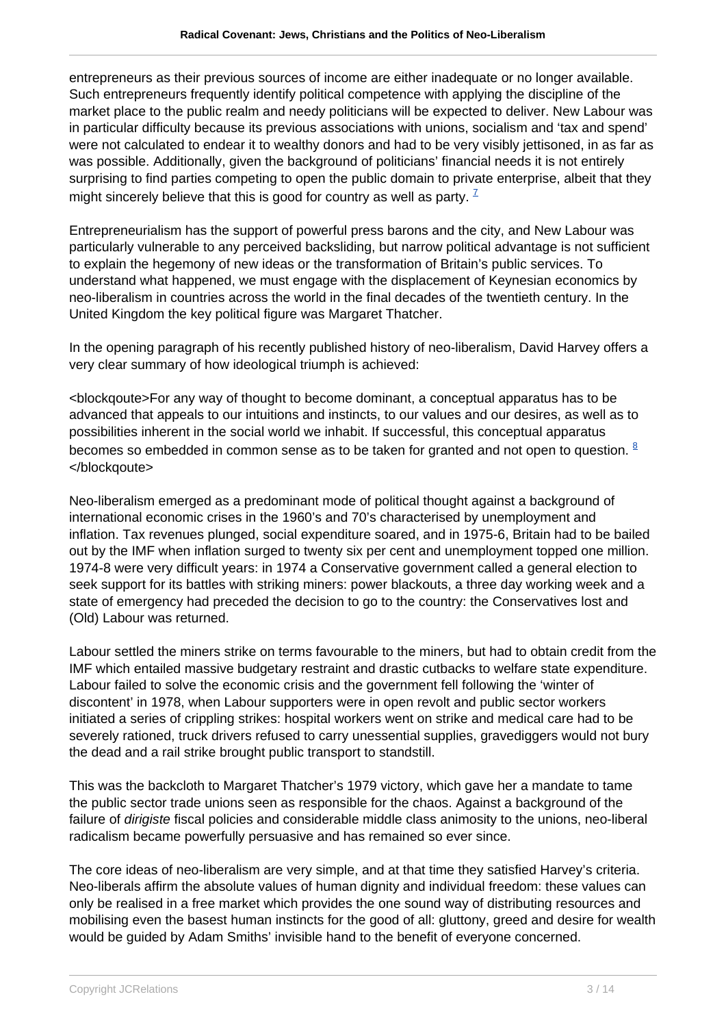entrepreneurs as their previous sources of income are either inadequate or no longer available. Such entrepreneurs frequently identify political competence with applying the discipline of the market place to the public realm and needy politicians will be expected to deliver. New Labour was in particular difficulty because its previous associations with unions, socialism and 'tax and spend' were not calculated to endear it to wealthy donors and had to be very visibly jettisoned, in as far as was possible. Additionally, given the background of politicians' financial needs it is not entirely surprising to find parties competing to open the public domain to private enterprise, albeit that they might sincerely believe that this is good for country as well as party.  $\frac{7}{2}$ 

Entrepreneurialism has the support of powerful press barons and the city, and New Labour was particularly vulnerable to any perceived backsliding, but narrow political advantage is not sufficient to explain the hegemony of new ideas or the transformation of Britain's public services. To understand what happened, we must engage with the displacement of Keynesian economics by neo-liberalism in countries across the world in the final decades of the twentieth century. In the United Kingdom the key political figure was Margaret Thatcher.

In the opening paragraph of his recently published history of neo-liberalism, David Harvey offers a very clear summary of how ideological triumph is achieved:

<blockqoute>For any way of thought to become dominant, a conceptual apparatus has to be advanced that appeals to our intuitions and instincts, to our values and our desires, as well as to possibilities inherent in the social world we inhabit. If successful, this conceptual apparatus becomes so embedded in common sense as to be taken for granted and not open to question. <sup>8</sup> </blockqoute>

Neo-liberalism emerged as a predominant mode of political thought against a background of international economic crises in the 1960's and 70's characterised by unemployment and inflation. Tax revenues plunged, social expenditure soared, and in 1975-6, Britain had to be bailed out by the IMF when inflation surged to twenty six per cent and unemployment topped one million. 1974-8 were very difficult years: in 1974 a Conservative government called a general election to seek support for its battles with striking miners: power blackouts, a three day working week and a state of emergency had preceded the decision to go to the country: the Conservatives lost and (Old) Labour was returned.

Labour settled the miners strike on terms favourable to the miners, but had to obtain credit from the IMF which entailed massive budgetary restraint and drastic cutbacks to welfare state expenditure. Labour failed to solve the economic crisis and the government fell following the 'winter of discontent' in 1978, when Labour supporters were in open revolt and public sector workers initiated a series of crippling strikes: hospital workers went on strike and medical care had to be severely rationed, truck drivers refused to carry unessential supplies, gravediggers would not bury the dead and a rail strike brought public transport to standstill.

This was the backcloth to Margaret Thatcher's 1979 victory, which gave her a mandate to tame the public sector trade unions seen as responsible for the chaos. Against a background of the failure of dirigiste fiscal policies and considerable middle class animosity to the unions, neo-liberal radicalism became powerfully persuasive and has remained so ever since.

The core ideas of neo-liberalism are very simple, and at that time they satisfied Harvey's criteria. Neo-liberals affirm the absolute values of human dignity and individual freedom: these values can only be realised in a free market which provides the one sound way of distributing resources and mobilising even the basest human instincts for the good of all: gluttony, greed and desire for wealth would be guided by Adam Smiths' invisible hand to the benefit of everyone concerned.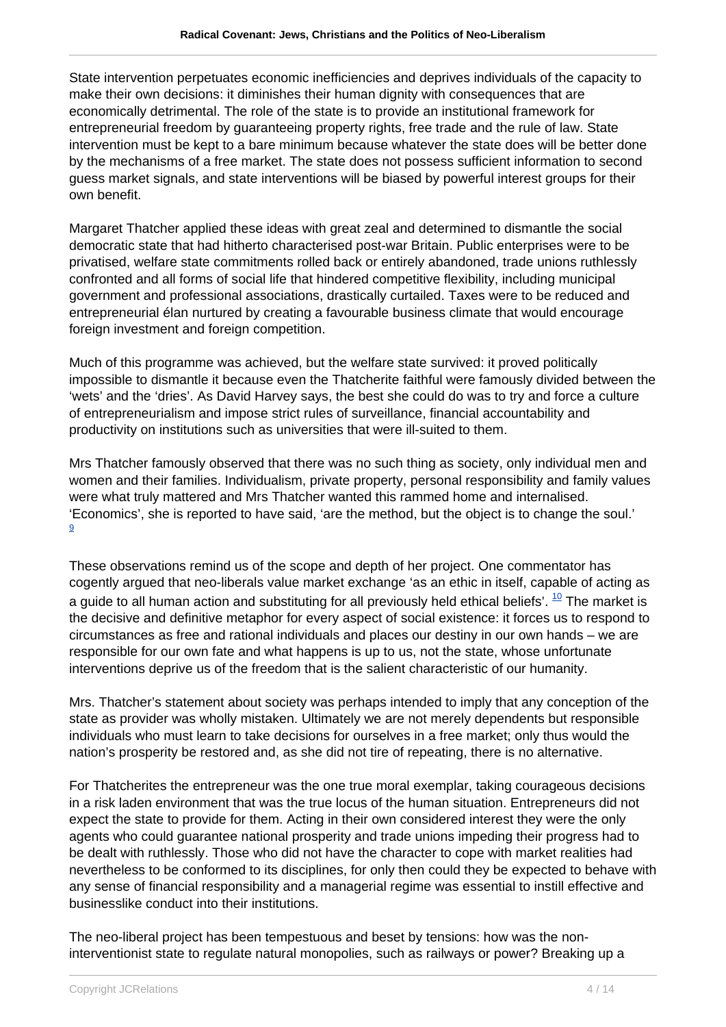State intervention perpetuates economic inefficiencies and deprives individuals of the capacity to make their own decisions: it diminishes their human dignity with consequences that are economically detrimental. The role of the state is to provide an institutional framework for entrepreneurial freedom by guaranteeing property rights, free trade and the rule of law. State intervention must be kept to a bare minimum because whatever the state does will be better done by the mechanisms of a free market. The state does not possess sufficient information to second guess market signals, and state interventions will be biased by powerful interest groups for their own benefit.

Margaret Thatcher applied these ideas with great zeal and determined to dismantle the social democratic state that had hitherto characterised post-war Britain. Public enterprises were to be privatised, welfare state commitments rolled back or entirely abandoned, trade unions ruthlessly confronted and all forms of social life that hindered competitive flexibility, including municipal government and professional associations, drastically curtailed. Taxes were to be reduced and entrepreneurial élan nurtured by creating a favourable business climate that would encourage foreign investment and foreign competition.

Much of this programme was achieved, but the welfare state survived: it proved politically impossible to dismantle it because even the Thatcherite faithful were famously divided between the 'wets' and the 'dries'. As David Harvey says, the best she could do was to try and force a culture of entrepreneurialism and impose strict rules of surveillance, financial accountability and productivity on institutions such as universities that were ill-suited to them.

Mrs Thatcher famously observed that there was no such thing as society, only individual men and women and their families. Individualism, private property, personal responsibility and family values were what truly mattered and Mrs Thatcher wanted this rammed home and internalised. 'Economics', she is reported to have said, 'are the method, but the object is to change the soul.' 9

These observations remind us of the scope and depth of her project. One commentator has cogently argued that neo-liberals value market exchange 'as an ethic in itself, capable of acting as a guide to all human action and substituting for all previously held ethical beliefs'.  $^{10}$  The market is the decisive and definitive metaphor for every aspect of social existence: it forces us to respond to circumstances as free and rational individuals and places our destiny in our own hands – we are responsible for our own fate and what happens is up to us, not the state, whose unfortunate interventions deprive us of the freedom that is the salient characteristic of our humanity.

Mrs. Thatcher's statement about society was perhaps intended to imply that any conception of the state as provider was wholly mistaken. Ultimately we are not merely dependents but responsible individuals who must learn to take decisions for ourselves in a free market; only thus would the nation's prosperity be restored and, as she did not tire of repeating, there is no alternative.

For Thatcherites the entrepreneur was the one true moral exemplar, taking courageous decisions in a risk laden environment that was the true locus of the human situation. Entrepreneurs did not expect the state to provide for them. Acting in their own considered interest they were the only agents who could guarantee national prosperity and trade unions impeding their progress had to be dealt with ruthlessly. Those who did not have the character to cope with market realities had nevertheless to be conformed to its disciplines, for only then could they be expected to behave with any sense of financial responsibility and a managerial regime was essential to instill effective and businesslike conduct into their institutions.

The neo-liberal project has been tempestuous and beset by tensions: how was the noninterventionist state to regulate natural monopolies, such as railways or power? Breaking up a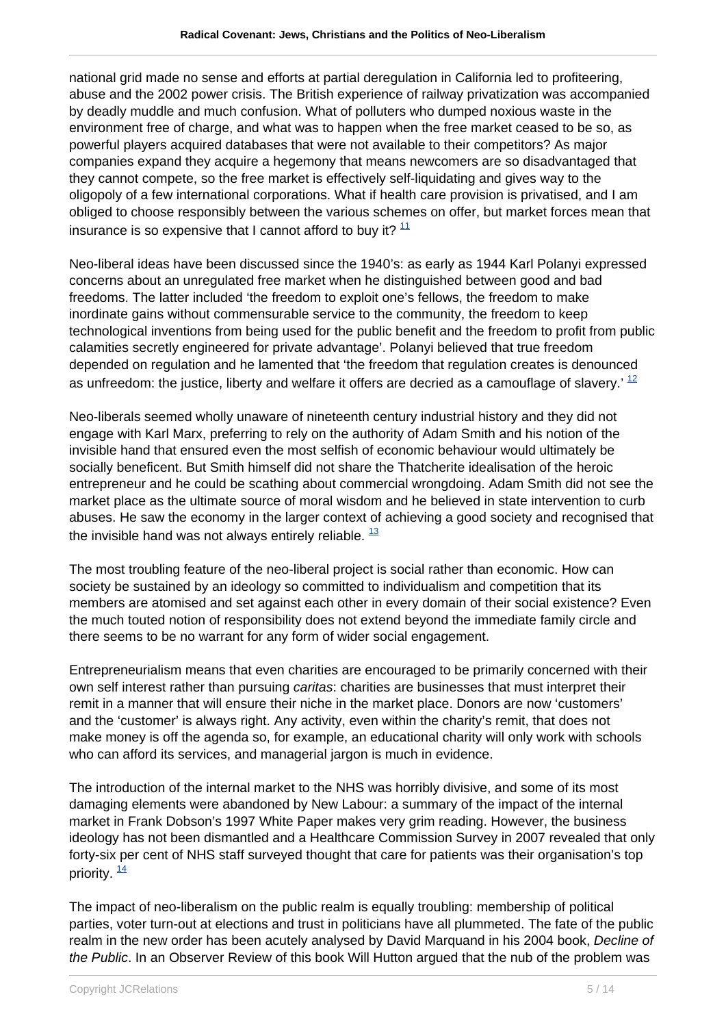national grid made no sense and efforts at partial deregulation in California led to profiteering, abuse and the 2002 power crisis. The British experience of railway privatization was accompanied by deadly muddle and much confusion. What of polluters who dumped noxious waste in the environment free of charge, and what was to happen when the free market ceased to be so, as powerful players acquired databases that were not available to their competitors? As major companies expand they acquire a hegemony that means newcomers are so disadvantaged that they cannot compete, so the free market is effectively self-liquidating and gives way to the oligopoly of a few international corporations. What if health care provision is privatised, and I am obliged to choose responsibly between the various schemes on offer, but market forces mean that insurance is so expensive that I cannot afford to buy it?  $11$ 

Neo-liberal ideas have been discussed since the 1940's: as early as 1944 Karl Polanyi expressed concerns about an unregulated free market when he distinguished between good and bad freedoms. The latter included 'the freedom to exploit one's fellows, the freedom to make inordinate gains without commensurable service to the community, the freedom to keep technological inventions from being used for the public benefit and the freedom to profit from public calamities secretly engineered for private advantage'. Polanyi believed that true freedom depended on regulation and he lamented that 'the freedom that regulation creates is denounced as unfreedom: the justice, liberty and welfare it offers are decried as a camouflage of slavery.' <sup>12</sup>

Neo-liberals seemed wholly unaware of nineteenth century industrial history and they did not engage with Karl Marx, preferring to rely on the authority of Adam Smith and his notion of the invisible hand that ensured even the most selfish of economic behaviour would ultimately be socially beneficent. But Smith himself did not share the Thatcherite idealisation of the heroic entrepreneur and he could be scathing about commercial wrongdoing. Adam Smith did not see the market place as the ultimate source of moral wisdom and he believed in state intervention to curb abuses. He saw the economy in the larger context of achieving a good society and recognised that the invisible hand was not always entirely reliable.  $\frac{13}{2}$ 

The most troubling feature of the neo-liberal project is social rather than economic. How can society be sustained by an ideology so committed to individualism and competition that its members are atomised and set against each other in every domain of their social existence? Even the much touted notion of responsibility does not extend beyond the immediate family circle and there seems to be no warrant for any form of wider social engagement.

Entrepreneurialism means that even charities are encouraged to be primarily concerned with their own self interest rather than pursuing caritas: charities are businesses that must interpret their remit in a manner that will ensure their niche in the market place. Donors are now 'customers' and the 'customer' is always right. Any activity, even within the charity's remit, that does not make money is off the agenda so, for example, an educational charity will only work with schools who can afford its services, and managerial jargon is much in evidence.

The introduction of the internal market to the NHS was horribly divisive, and some of its most damaging elements were abandoned by New Labour: a summary of the impact of the internal market in Frank Dobson's 1997 White Paper makes very grim reading. However, the business ideology has not been dismantled and a Healthcare Commission Survey in 2007 revealed that only forty-six per cent of NHS staff surveyed thought that care for patients was their organisation's top priority.  $\frac{14}{1}$ 

The impact of neo-liberalism on the public realm is equally troubling: membership of political parties, voter turn-out at elections and trust in politicians have all plummeted. The fate of the public realm in the new order has been acutely analysed by David Marquand in his 2004 book, Decline of the Public. In an Observer Review of this book Will Hutton argued that the nub of the problem was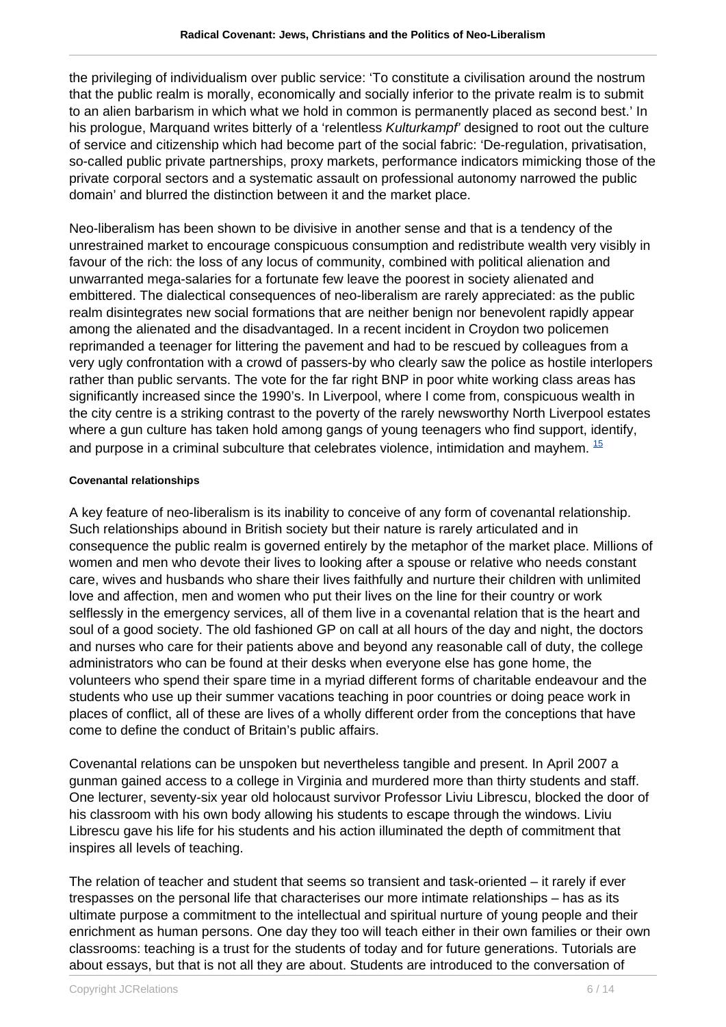the privileging of individualism over public service: 'To constitute a civilisation around the nostrum that the public realm is morally, economically and socially inferior to the private realm is to submit to an alien barbarism in which what we hold in common is permanently placed as second best.' In his prologue, Marguand writes bitterly of a 'relentless Kulturkampf' designed to root out the culture of service and citizenship which had become part of the social fabric: 'De-regulation, privatisation, so-called public private partnerships, proxy markets, performance indicators mimicking those of the private corporal sectors and a systematic assault on professional autonomy narrowed the public domain' and blurred the distinction between it and the market place.

Neo-liberalism has been shown to be divisive in another sense and that is a tendency of the unrestrained market to encourage conspicuous consumption and redistribute wealth very visibly in favour of the rich: the loss of any locus of community, combined with political alienation and unwarranted mega-salaries for a fortunate few leave the poorest in society alienated and embittered. The dialectical consequences of neo-liberalism are rarely appreciated: as the public realm disintegrates new social formations that are neither benign nor benevolent rapidly appear among the alienated and the disadvantaged. In a recent incident in Croydon two policemen reprimanded a teenager for littering the pavement and had to be rescued by colleagues from a very ugly confrontation with a crowd of passers-by who clearly saw the police as hostile interlopers rather than public servants. The vote for the far right BNP in poor white working class areas has significantly increased since the 1990's. In Liverpool, where I come from, conspicuous wealth in the city centre is a striking contrast to the poverty of the rarely newsworthy North Liverpool estates where a gun culture has taken hold among gangs of young teenagers who find support, identify, and purpose in a criminal subculture that celebrates violence, intimidation and mayhem.  $\frac{15}{2}$ 

#### **Covenantal relationships**

A key feature of neo-liberalism is its inability to conceive of any form of covenantal relationship. Such relationships abound in British society but their nature is rarely articulated and in consequence the public realm is governed entirely by the metaphor of the market place. Millions of women and men who devote their lives to looking after a spouse or relative who needs constant care, wives and husbands who share their lives faithfully and nurture their children with unlimited love and affection, men and women who put their lives on the line for their country or work selflessly in the emergency services, all of them live in a covenantal relation that is the heart and soul of a good society. The old fashioned GP on call at all hours of the day and night, the doctors and nurses who care for their patients above and beyond any reasonable call of duty, the college administrators who can be found at their desks when everyone else has gone home, the volunteers who spend their spare time in a myriad different forms of charitable endeavour and the students who use up their summer vacations teaching in poor countries or doing peace work in places of conflict, all of these are lives of a wholly different order from the conceptions that have come to define the conduct of Britain's public affairs.

Covenantal relations can be unspoken but nevertheless tangible and present. In April 2007 a gunman gained access to a college in Virginia and murdered more than thirty students and staff. One lecturer, seventy-six year old holocaust survivor Professor Liviu Librescu, blocked the door of his classroom with his own body allowing his students to escape through the windows. Liviu Librescu gave his life for his students and his action illuminated the depth of commitment that inspires all levels of teaching.

The relation of teacher and student that seems so transient and task-oriented – it rarely if ever trespasses on the personal life that characterises our more intimate relationships – has as its ultimate purpose a commitment to the intellectual and spiritual nurture of young people and their enrichment as human persons. One day they too will teach either in their own families or their own classrooms: teaching is a trust for the students of today and for future generations. Tutorials are about essays, but that is not all they are about. Students are introduced to the conversation of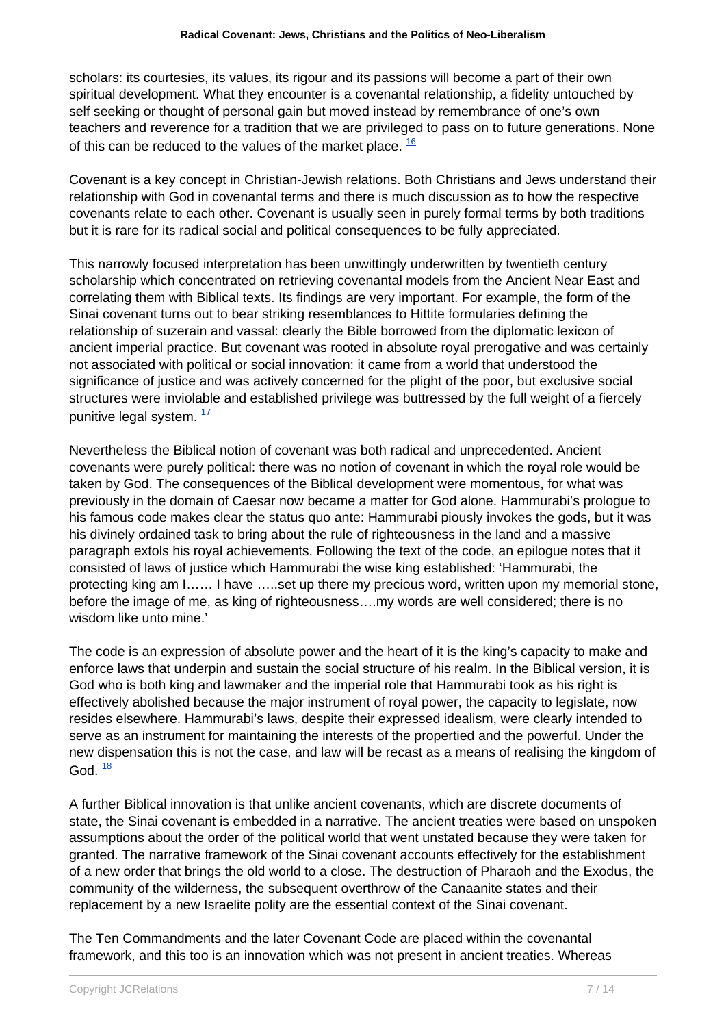scholars: its courtesies, its values, its rigour and its passions will become a part of their own spiritual development. What they encounter is a covenantal relationship, a fidelity untouched by self seeking or thought of personal gain but moved instead by remembrance of one's own teachers and reverence for a tradition that we are privileged to pass on to future generations. None of this can be reduced to the values of the market place.  $\frac{16}{10}$ 

Covenant is a key concept in Christian-Jewish relations. Both Christians and Jews understand their relationship with God in covenantal terms and there is much discussion as to how the respective covenants relate to each other. Covenant is usually seen in purely formal terms by both traditions but it is rare for its radical social and political consequences to be fully appreciated.

This narrowly focused interpretation has been unwittingly underwritten by twentieth century scholarship which concentrated on retrieving covenantal models from the Ancient Near East and correlating them with Biblical texts. Its findings are very important. For example, the form of the Sinai covenant turns out to bear striking resemblances to Hittite formularies defining the relationship of suzerain and vassal: clearly the Bible borrowed from the diplomatic lexicon of ancient imperial practice. But covenant was rooted in absolute royal prerogative and was certainly not associated with political or social innovation: it came from a world that understood the significance of justice and was actively concerned for the plight of the poor, but exclusive social structures were inviolable and established privilege was buttressed by the full weight of a fiercely punitive legal system.  $\frac{17}{1}$ 

Nevertheless the Biblical notion of covenant was both radical and unprecedented. Ancient covenants were purely political: there was no notion of covenant in which the royal role would be taken by God. The consequences of the Biblical development were momentous, for what was previously in the domain of Caesar now became a matter for God alone. Hammurabi's prologue to his famous code makes clear the status quo ante: Hammurabi piously invokes the gods, but it was his divinely ordained task to bring about the rule of righteousness in the land and a massive paragraph extols his royal achievements. Following the text of the code, an epilogue notes that it consisted of laws of justice which Hammurabi the wise king established: 'Hammurabi, the protecting king am I…… I have …..set up there my precious word, written upon my memorial stone, before the image of me, as king of righteousness….my words are well considered; there is no wisdom like unto mine.'

The code is an expression of absolute power and the heart of it is the king's capacity to make and enforce laws that underpin and sustain the social structure of his realm. In the Biblical version, it is God who is both king and lawmaker and the imperial role that Hammurabi took as his right is effectively abolished because the major instrument of royal power, the capacity to legislate, now resides elsewhere. Hammurabi's laws, despite their expressed idealism, were clearly intended to serve as an instrument for maintaining the interests of the propertied and the powerful. Under the new dispensation this is not the case, and law will be recast as a means of realising the kingdom of God.  $\frac{18}{3}$ 

A further Biblical innovation is that unlike ancient covenants, which are discrete documents of state, the Sinai covenant is embedded in a narrative. The ancient treaties were based on unspoken assumptions about the order of the political world that went unstated because they were taken for granted. The narrative framework of the Sinai covenant accounts effectively for the establishment of a new order that brings the old world to a close. The destruction of Pharaoh and the Exodus, the community of the wilderness, the subsequent overthrow of the Canaanite states and their replacement by a new Israelite polity are the essential context of the Sinai covenant.

The Ten Commandments and the later Covenant Code are placed within the covenantal framework, and this too is an innovation which was not present in ancient treaties. Whereas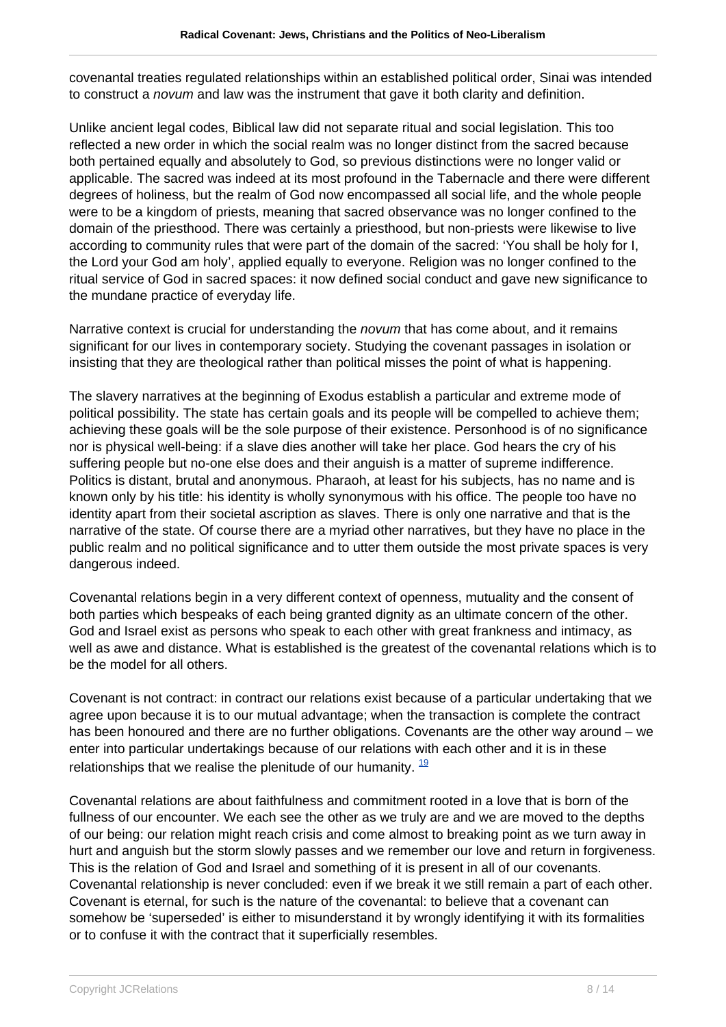covenantal treaties regulated relationships within an established political order, Sinai was intended to construct a *novum* and law was the instrument that gave it both clarity and definition.

Unlike ancient legal codes, Biblical law did not separate ritual and social legislation. This too reflected a new order in which the social realm was no longer distinct from the sacred because both pertained equally and absolutely to God, so previous distinctions were no longer valid or applicable. The sacred was indeed at its most profound in the Tabernacle and there were different degrees of holiness, but the realm of God now encompassed all social life, and the whole people were to be a kingdom of priests, meaning that sacred observance was no longer confined to the domain of the priesthood. There was certainly a priesthood, but non-priests were likewise to live according to community rules that were part of the domain of the sacred: 'You shall be holy for I, the Lord your God am holy', applied equally to everyone. Religion was no longer confined to the ritual service of God in sacred spaces: it now defined social conduct and gave new significance to the mundane practice of everyday life.

Narrative context is crucial for understanding the *novum* that has come about, and it remains significant for our lives in contemporary society. Studying the covenant passages in isolation or insisting that they are theological rather than political misses the point of what is happening.

The slavery narratives at the beginning of Exodus establish a particular and extreme mode of political possibility. The state has certain goals and its people will be compelled to achieve them; achieving these goals will be the sole purpose of their existence. Personhood is of no significance nor is physical well-being: if a slave dies another will take her place. God hears the cry of his suffering people but no-one else does and their anguish is a matter of supreme indifference. Politics is distant, brutal and anonymous. Pharaoh, at least for his subjects, has no name and is known only by his title: his identity is wholly synonymous with his office. The people too have no identity apart from their societal ascription as slaves. There is only one narrative and that is the narrative of the state. Of course there are a myriad other narratives, but they have no place in the public realm and no political significance and to utter them outside the most private spaces is very dangerous indeed.

Covenantal relations begin in a very different context of openness, mutuality and the consent of both parties which bespeaks of each being granted dignity as an ultimate concern of the other. God and Israel exist as persons who speak to each other with great frankness and intimacy, as well as awe and distance. What is established is the greatest of the covenantal relations which is to be the model for all others.

Covenant is not contract: in contract our relations exist because of a particular undertaking that we agree upon because it is to our mutual advantage; when the transaction is complete the contract has been honoured and there are no further obligations. Covenants are the other way around – we enter into particular undertakings because of our relations with each other and it is in these relationships that we realise the plenitude of our humanity.  $\frac{19}{2}$ 

Covenantal relations are about faithfulness and commitment rooted in a love that is born of the fullness of our encounter. We each see the other as we truly are and we are moved to the depths of our being: our relation might reach crisis and come almost to breaking point as we turn away in hurt and anguish but the storm slowly passes and we remember our love and return in forgiveness. This is the relation of God and Israel and something of it is present in all of our covenants. Covenantal relationship is never concluded: even if we break it we still remain a part of each other. Covenant is eternal, for such is the nature of the covenantal: to believe that a covenant can somehow be 'superseded' is either to misunderstand it by wrongly identifying it with its formalities or to confuse it with the contract that it superficially resembles.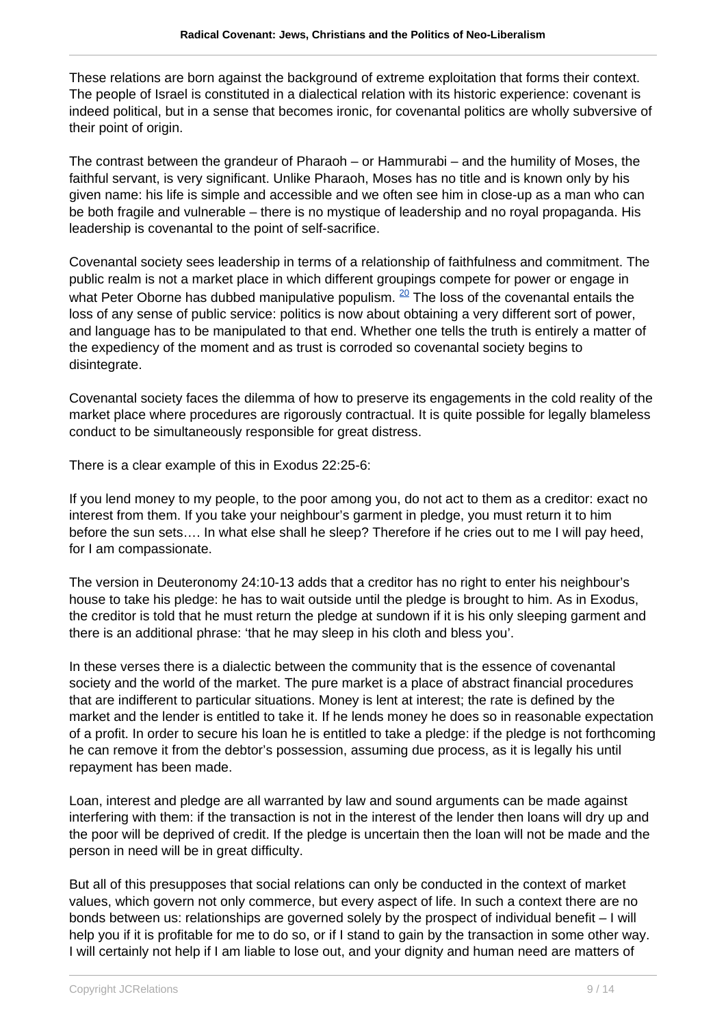These relations are born against the background of extreme exploitation that forms their context. The people of Israel is constituted in a dialectical relation with its historic experience: covenant is indeed political, but in a sense that becomes ironic, for covenantal politics are wholly subversive of their point of origin.

The contrast between the grandeur of Pharaoh – or Hammurabi – and the humility of Moses, the faithful servant, is very significant. Unlike Pharaoh, Moses has no title and is known only by his given name: his life is simple and accessible and we often see him in close-up as a man who can be both fragile and vulnerable – there is no mystique of leadership and no royal propaganda. His leadership is covenantal to the point of self-sacrifice.

Covenantal society sees leadership in terms of a relationship of faithfulness and commitment. The public realm is not a market place in which different groupings compete for power or engage in what Peter Oborne has dubbed manipulative populism.  $20$  The loss of the covenantal entails the loss of any sense of public service: politics is now about obtaining a very different sort of power, and language has to be manipulated to that end. Whether one tells the truth is entirely a matter of the expediency of the moment and as trust is corroded so covenantal society begins to disintegrate.

Covenantal society faces the dilemma of how to preserve its engagements in the cold reality of the market place where procedures are rigorously contractual. It is quite possible for legally blameless conduct to be simultaneously responsible for great distress.

There is a clear example of this in Exodus 22:25-6:

If you lend money to my people, to the poor among you, do not act to them as a creditor: exact no interest from them. If you take your neighbour's garment in pledge, you must return it to him before the sun sets…. In what else shall he sleep? Therefore if he cries out to me I will pay heed, for I am compassionate.

The version in Deuteronomy 24:10-13 adds that a creditor has no right to enter his neighbour's house to take his pledge: he has to wait outside until the pledge is brought to him. As in Exodus, the creditor is told that he must return the pledge at sundown if it is his only sleeping garment and there is an additional phrase: 'that he may sleep in his cloth and bless you'.

In these verses there is a dialectic between the community that is the essence of covenantal society and the world of the market. The pure market is a place of abstract financial procedures that are indifferent to particular situations. Money is lent at interest; the rate is defined by the market and the lender is entitled to take it. If he lends money he does so in reasonable expectation of a profit. In order to secure his loan he is entitled to take a pledge: if the pledge is not forthcoming he can remove it from the debtor's possession, assuming due process, as it is legally his until repayment has been made.

Loan, interest and pledge are all warranted by law and sound arguments can be made against interfering with them: if the transaction is not in the interest of the lender then loans will dry up and the poor will be deprived of credit. If the pledge is uncertain then the loan will not be made and the person in need will be in great difficulty.

But all of this presupposes that social relations can only be conducted in the context of market values, which govern not only commerce, but every aspect of life. In such a context there are no bonds between us: relationships are governed solely by the prospect of individual benefit – I will help you if it is profitable for me to do so, or if I stand to gain by the transaction in some other way. I will certainly not help if I am liable to lose out, and your dignity and human need are matters of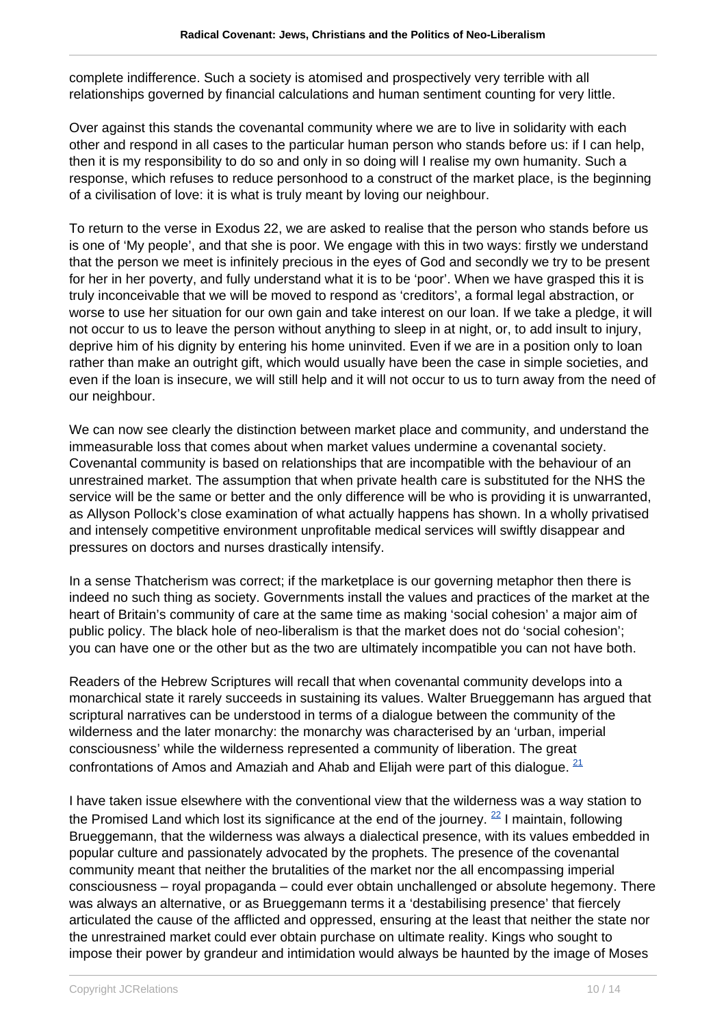complete indifference. Such a society is atomised and prospectively very terrible with all relationships governed by financial calculations and human sentiment counting for very little.

Over against this stands the covenantal community where we are to live in solidarity with each other and respond in all cases to the particular human person who stands before us: if I can help, then it is my responsibility to do so and only in so doing will I realise my own humanity. Such a response, which refuses to reduce personhood to a construct of the market place, is the beginning of a civilisation of love: it is what is truly meant by loving our neighbour.

To return to the verse in Exodus 22, we are asked to realise that the person who stands before us is one of 'My people', and that she is poor. We engage with this in two ways: firstly we understand that the person we meet is infinitely precious in the eyes of God and secondly we try to be present for her in her poverty, and fully understand what it is to be 'poor'. When we have grasped this it is truly inconceivable that we will be moved to respond as 'creditors', a formal legal abstraction, or worse to use her situation for our own gain and take interest on our loan. If we take a pledge, it will not occur to us to leave the person without anything to sleep in at night, or, to add insult to injury, deprive him of his dignity by entering his home uninvited. Even if we are in a position only to loan rather than make an outright gift, which would usually have been the case in simple societies, and even if the loan is insecure, we will still help and it will not occur to us to turn away from the need of our neighbour.

We can now see clearly the distinction between market place and community, and understand the immeasurable loss that comes about when market values undermine a covenantal society. Covenantal community is based on relationships that are incompatible with the behaviour of an unrestrained market. The assumption that when private health care is substituted for the NHS the service will be the same or better and the only difference will be who is providing it is unwarranted, as Allyson Pollock's close examination of what actually happens has shown. In a wholly privatised and intensely competitive environment unprofitable medical services will swiftly disappear and pressures on doctors and nurses drastically intensify.

In a sense Thatcherism was correct; if the marketplace is our governing metaphor then there is indeed no such thing as society. Governments install the values and practices of the market at the heart of Britain's community of care at the same time as making 'social cohesion' a major aim of public policy. The black hole of neo-liberalism is that the market does not do 'social cohesion'; you can have one or the other but as the two are ultimately incompatible you can not have both.

Readers of the Hebrew Scriptures will recall that when covenantal community develops into a monarchical state it rarely succeeds in sustaining its values. Walter Brueggemann has argued that scriptural narratives can be understood in terms of a dialogue between the community of the wilderness and the later monarchy: the monarchy was characterised by an 'urban, imperial consciousness' while the wilderness represented a community of liberation. The great confrontations of Amos and Amaziah and Ahab and Elijah were part of this dialogue.  $21$ 

I have taken issue elsewhere with the conventional view that the wilderness was a way station to the Promised Land which lost its significance at the end of the journey.  $^{22}$  I maintain, following Brueggemann, that the wilderness was always a dialectical presence, with its values embedded in popular culture and passionately advocated by the prophets. The presence of the covenantal community meant that neither the brutalities of the market nor the all encompassing imperial consciousness – royal propaganda – could ever obtain unchallenged or absolute hegemony. There was always an alternative, or as Brueggemann terms it a 'destabilising presence' that fiercely articulated the cause of the afflicted and oppressed, ensuring at the least that neither the state nor the unrestrained market could ever obtain purchase on ultimate reality. Kings who sought to impose their power by grandeur and intimidation would always be haunted by the image of Moses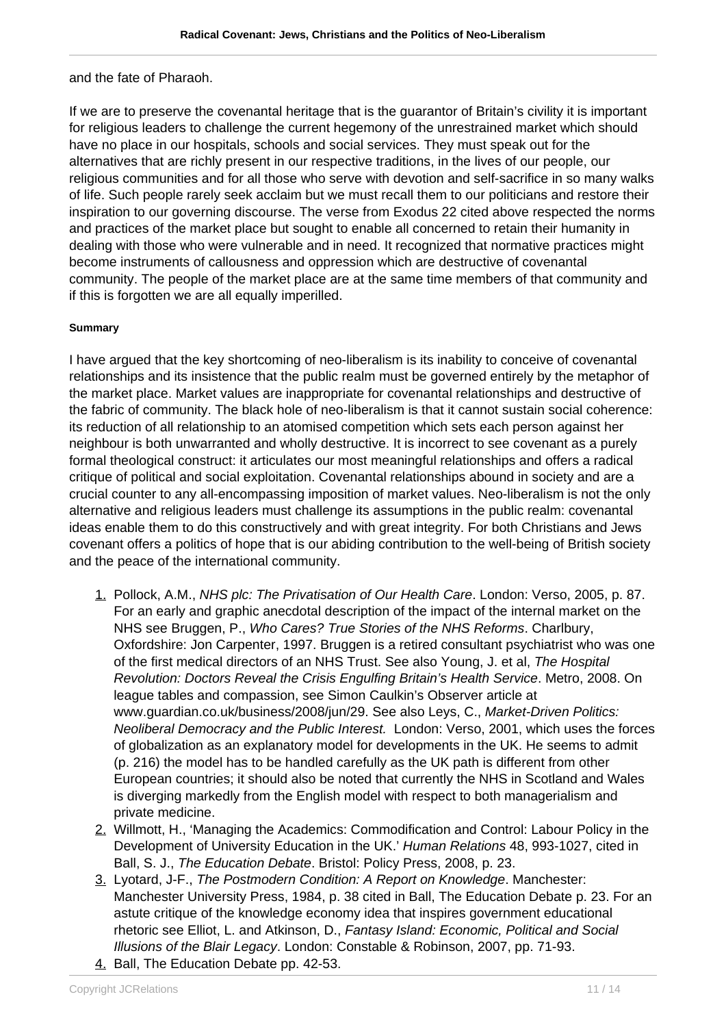and the fate of Pharaoh.

If we are to preserve the covenantal heritage that is the guarantor of Britain's civility it is important for religious leaders to challenge the current hegemony of the unrestrained market which should have no place in our hospitals, schools and social services. They must speak out for the alternatives that are richly present in our respective traditions, in the lives of our people, our religious communities and for all those who serve with devotion and self-sacrifice in so many walks of life. Such people rarely seek acclaim but we must recall them to our politicians and restore their inspiration to our governing discourse. The verse from Exodus 22 cited above respected the norms and practices of the market place but sought to enable all concerned to retain their humanity in dealing with those who were vulnerable and in need. It recognized that normative practices might become instruments of callousness and oppression which are destructive of covenantal community. The people of the market place are at the same time members of that community and if this is forgotten we are all equally imperilled.

## **Summary**

I have argued that the key shortcoming of neo-liberalism is its inability to conceive of covenantal relationships and its insistence that the public realm must be governed entirely by the metaphor of the market place. Market values are inappropriate for covenantal relationships and destructive of the fabric of community. The black hole of neo-liberalism is that it cannot sustain social coherence: its reduction of all relationship to an atomised competition which sets each person against her neighbour is both unwarranted and wholly destructive. It is incorrect to see covenant as a purely formal theological construct: it articulates our most meaningful relationships and offers a radical critique of political and social exploitation. Covenantal relationships abound in society and are a crucial counter to any all-encompassing imposition of market values. Neo-liberalism is not the only alternative and religious leaders must challenge its assumptions in the public realm: covenantal ideas enable them to do this constructively and with great integrity. For both Christians and Jews covenant offers a politics of hope that is our abiding contribution to the well-being of British society and the peace of the international community.

- 1. Pollock, A.M., NHS plc: The Privatisation of Our Health Care. London: Verso, 2005, p. 87. For an early and graphic anecdotal description of the impact of the internal market on the NHS see Bruggen, P., Who Cares? True Stories of the NHS Reforms. Charlbury, Oxfordshire: Jon Carpenter, 1997. Bruggen is a retired consultant psychiatrist who was one of the first medical directors of an NHS Trust. See also Young, J. et al, The Hospital Revolution: Doctors Reveal the Crisis Engulfing Britain's Health Service. Metro, 2008. On league tables and compassion, see Simon Caulkin's Observer article at www.guardian.co.uk/business/2008/jun/29. See also Leys, C., Market-Driven Politics: Neoliberal Democracy and the Public Interest. London: Verso, 2001, which uses the forces of globalization as an explanatory model for developments in the UK. He seems to admit (p. 216) the model has to be handled carefully as the UK path is different from other European countries; it should also be noted that currently the NHS in Scotland and Wales is diverging markedly from the English model with respect to both managerialism and private medicine.
- 2. Willmott, H., 'Managing the Academics: Commodification and Control: Labour Policy in the Development of University Education in the UK.' Human Relations 48, 993-1027, cited in Ball, S. J., The Education Debate. Bristol: Policy Press, 2008, p. 23.
- 3. Lyotard, J-F., The Postmodern Condition: A Report on Knowledge. Manchester: Manchester University Press, 1984, p. 38 cited in Ball, The Education Debate p. 23. For an astute critique of the knowledge economy idea that inspires government educational rhetoric see Elliot, L. and Atkinson, D., Fantasy Island: Economic, Political and Social Illusions of the Blair Legacy. London: Constable & Robinson, 2007, pp. 71-93.
- 4. Ball, The Education Debate pp. 42-53.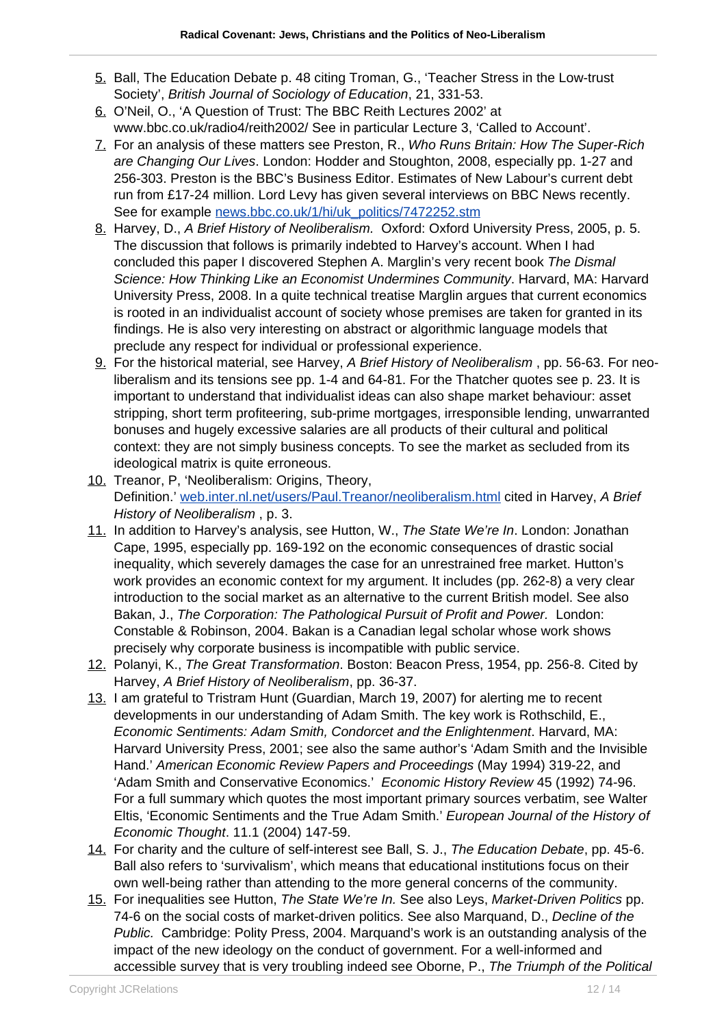- 5. Ball, The Education Debate p. 48 citing Troman, G., 'Teacher Stress in the Low-trust Society', British Journal of Sociology of Education, 21, 331-53.
- 6. O'Neil, O., 'A Question of Trust: The BBC Reith Lectures 2002' at www.bbc.co.uk/radio4/reith2002/ See in particular Lecture 3, 'Called to Account'.
- 7. For an analysis of these matters see Preston, R., Who Runs Britain: How The Super-Rich are Changing Our Lives. London: Hodder and Stoughton, 2008, especially pp. 1-27 and 256-303. Preston is the BBC's Business Editor. Estimates of New Labour's current debt run from £17-24 million. Lord Levy has given several interviews on BBC News recently. See for example [news.bbc.co.uk/1/hi/uk\\_politics/7472252.stm](http://news.bbc.co.uk/1/hi/uk_politics/7472252.stm)
- 8. Harvey, D., A Brief History of Neoliberalism. Oxford: Oxford University Press, 2005, p. 5. The discussion that follows is primarily indebted to Harvey's account. When I had concluded this paper I discovered Stephen A. Marglin's very recent book The Dismal Science: How Thinking Like an Economist Undermines Community. Harvard, MA: Harvard University Press, 2008. In a quite technical treatise Marglin argues that current economics is rooted in an individualist account of society whose premises are taken for granted in its findings. He is also very interesting on abstract or algorithmic language models that preclude any respect for individual or professional experience.
- 9. For the historical material, see Harvey, A Brief History of Neoliberalism , pp. 56-63. For neoliberalism and its tensions see pp. 1-4 and 64-81. For the Thatcher quotes see p. 23. It is important to understand that individualist ideas can also shape market behaviour: asset stripping, short term profiteering, sub-prime mortgages, irresponsible lending, unwarranted bonuses and hugely excessive salaries are all products of their cultural and political context: they are not simply business concepts. To see the market as secluded from its ideological matrix is quite erroneous.
- 10. Treanor, P, 'Neoliberalism: Origins, Theory, Definition.' [web.inter.nl.net/users/Paul.Treanor/neoliberalism.html](http://web.inter.nl.net/users/Paul.Treanor/neoliberalism.html) cited in Harvey, A Brief History of Neoliberalism , p. 3.
- 11. In addition to Harvey's analysis, see Hutton, W., The State We're In. London: Jonathan Cape, 1995, especially pp. 169-192 on the economic consequences of drastic social inequality, which severely damages the case for an unrestrained free market. Hutton's work provides an economic context for my argument. It includes (pp. 262-8) a very clear introduction to the social market as an alternative to the current British model. See also Bakan, J., The Corporation: The Pathological Pursuit of Profit and Power. London: Constable & Robinson, 2004. Bakan is a Canadian legal scholar whose work shows precisely why corporate business is incompatible with public service.
- 12. Polanyi, K., The Great Transformation. Boston: Beacon Press, 1954, pp. 256-8. Cited by Harvey, A Brief History of Neoliberalism, pp. 36-37.
- 13. I am grateful to Tristram Hunt (Guardian, March 19, 2007) for alerting me to recent developments in our understanding of Adam Smith. The key work is Rothschild, E., Economic Sentiments: Adam Smith, Condorcet and the Enlightenment. Harvard, MA: Harvard University Press, 2001; see also the same author's 'Adam Smith and the Invisible Hand.' American Economic Review Papers and Proceedings (May 1994) 319-22, and 'Adam Smith and Conservative Economics.' Economic History Review 45 (1992) 74-96. For a full summary which quotes the most important primary sources verbatim, see Walter Eltis, 'Economic Sentiments and the True Adam Smith.' European Journal of the History of Economic Thought. 11.1 (2004) 147-59.
- 14. For charity and the culture of self-interest see Ball, S. J., The Education Debate, pp. 45-6. Ball also refers to 'survivalism', which means that educational institutions focus on their own well-being rather than attending to the more general concerns of the community.
- 15. For inequalities see Hutton, The State We're In. See also Leys, Market-Driven Politics pp. 74-6 on the social costs of market-driven politics. See also Marquand, D., Decline of the Public. Cambridge: Polity Press, 2004. Marquand's work is an outstanding analysis of the impact of the new ideology on the conduct of government. For a well-informed and accessible survey that is very troubling indeed see Oborne, P., The Triumph of the Political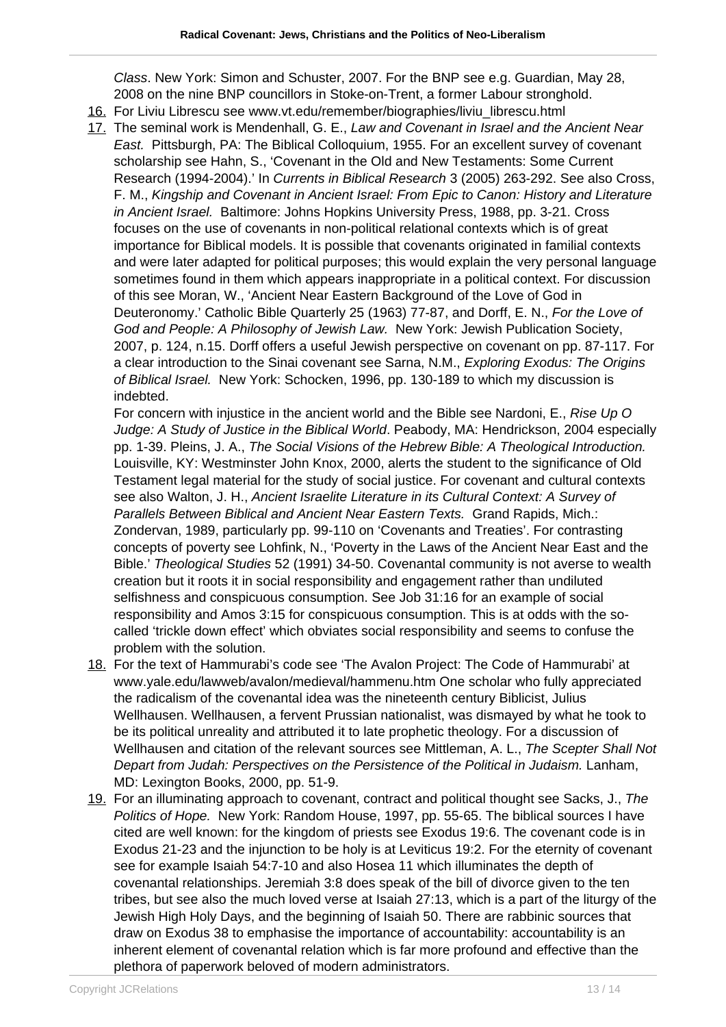Class. New York: Simon and Schuster, 2007. For the BNP see e.g. Guardian, May 28, 2008 on the nine BNP councillors in Stoke-on-Trent, a former Labour stronghold.

- 16. For Liviu Librescu see www.vt.edu/remember/biographies/liviu\_librescu.html
- 17. The seminal work is Mendenhall, G. E., Law and Covenant in Israel and the Ancient Near East. Pittsburgh, PA: The Biblical Colloquium, 1955. For an excellent survey of covenant scholarship see Hahn, S., 'Covenant in the Old and New Testaments: Some Current Research (1994-2004).' In Currents in Biblical Research 3 (2005) 263-292. See also Cross, F. M., Kingship and Covenant in Ancient Israel: From Epic to Canon: History and Literature in Ancient Israel. Baltimore: Johns Hopkins University Press, 1988, pp. 3-21. Cross focuses on the use of covenants in non-political relational contexts which is of great importance for Biblical models. It is possible that covenants originated in familial contexts and were later adapted for political purposes; this would explain the very personal language sometimes found in them which appears inappropriate in a political context. For discussion of this see Moran, W., 'Ancient Near Eastern Background of the Love of God in Deuteronomy.' Catholic Bible Quarterly 25 (1963) 77-87, and Dorff, E. N., For the Love of God and People: A Philosophy of Jewish Law. New York: Jewish Publication Society, 2007, p. 124, n.15. Dorff offers a useful Jewish perspective on covenant on pp. 87-117. For a clear introduction to the Sinai covenant see Sarna, N.M., Exploring Exodus: The Origins of Biblical Israel. New York: Schocken, 1996, pp. 130-189 to which my discussion is indebted.

For concern with injustice in the ancient world and the Bible see Nardoni, E., Rise Up O Judge: A Study of Justice in the Biblical World. Peabody, MA: Hendrickson, 2004 especially pp. 1-39. Pleins, J. A., The Social Visions of the Hebrew Bible: A Theological Introduction. Louisville, KY: Westminster John Knox, 2000, alerts the student to the significance of Old Testament legal material for the study of social justice. For covenant and cultural contexts see also Walton, J. H., Ancient Israelite Literature in its Cultural Context: A Survey of Parallels Between Biblical and Ancient Near Eastern Texts. Grand Rapids, Mich.: Zondervan, 1989, particularly pp. 99-110 on 'Covenants and Treaties'. For contrasting concepts of poverty see Lohfink, N., 'Poverty in the Laws of the Ancient Near East and the Bible.' Theological Studies 52 (1991) 34-50. Covenantal community is not averse to wealth creation but it roots it in social responsibility and engagement rather than undiluted selfishness and conspicuous consumption. See Job 31:16 for an example of social responsibility and Amos 3:15 for conspicuous consumption. This is at odds with the socalled 'trickle down effect' which obviates social responsibility and seems to confuse the problem with the solution.

- 18. For the text of Hammurabi's code see 'The Avalon Project: The Code of Hammurabi' at www.yale.edu/lawweb/avalon/medieval/hammenu.htm One scholar who fully appreciated the radicalism of the covenantal idea was the nineteenth century Biblicist, Julius Wellhausen. Wellhausen, a fervent Prussian nationalist, was dismayed by what he took to be its political unreality and attributed it to late prophetic theology. For a discussion of Wellhausen and citation of the relevant sources see Mittleman, A. L., The Scepter Shall Not Depart from Judah: Perspectives on the Persistence of the Political in Judaism. Lanham, MD: Lexington Books, 2000, pp. 51-9.
- 19. For an illuminating approach to covenant, contract and political thought see Sacks, J., The Politics of Hope. New York: Random House, 1997, pp. 55-65. The biblical sources I have cited are well known: for the kingdom of priests see Exodus 19:6. The covenant code is in Exodus 21-23 and the injunction to be holy is at Leviticus 19:2. For the eternity of covenant see for example Isaiah 54:7-10 and also Hosea 11 which illuminates the depth of covenantal relationships. Jeremiah 3:8 does speak of the bill of divorce given to the ten tribes, but see also the much loved verse at Isaiah 27:13, which is a part of the liturgy of the Jewish High Holy Days, and the beginning of Isaiah 50. There are rabbinic sources that draw on Exodus 38 to emphasise the importance of accountability: accountability is an inherent element of covenantal relation which is far more profound and effective than the plethora of paperwork beloved of modern administrators.